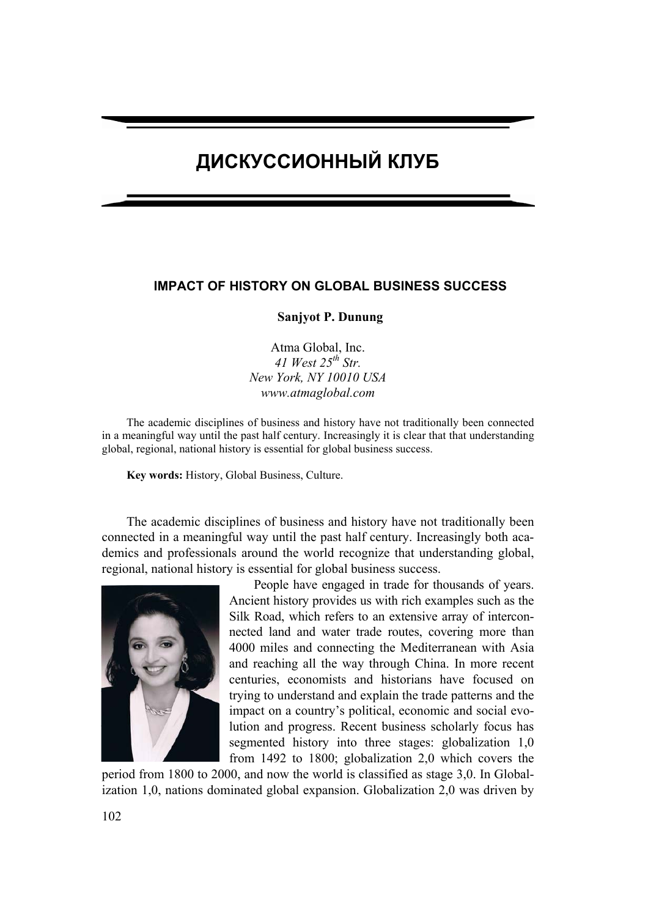# **ДИСКУССИОННЫЙ КЛУБ**

## **IMPACT OF HISTORY ON GLOBAL BUSINESS SUCCESS**

### **Sanjyot P. Dunung**

Atma Global, Inc. *41 West 25th Str. New York, NY 10010 USA www.atmaglobal.com* 

The academic disciplines of business and history have not traditionally been connected in a meaningful way until the past half century. Increasingly it is clear that that understanding global, regional, national history is essential for global business success.

**Key words:** History, Global Business, Culture.

The academic disciplines of business and history have not traditionally been connected in a meaningful way until the past half century. Increasingly both academics and professionals around the world recognize that understanding global, regional, national history is essential for global business success.



People have engaged in trade for thousands of years. Ancient history provides us with rich examples such as the Silk Road, which refers to an extensive array of interconnected land and water trade routes, covering more than 4000 miles and connecting the Mediterranean with Asia and reaching all the way through China. In more recent centuries, economists and historians have focused on trying to understand and explain the trade patterns and the impact on a country's political, economic and social evolution and progress. Recent business scholarly focus has segmented history into three stages: globalization 1,0 from 1492 to 1800; globalization 2,0 which covers the

period from 1800 to 2000, and now the world is classified as stage 3,0. In Globalization 1,0, nations dominated global expansion. Globalization 2,0 was driven by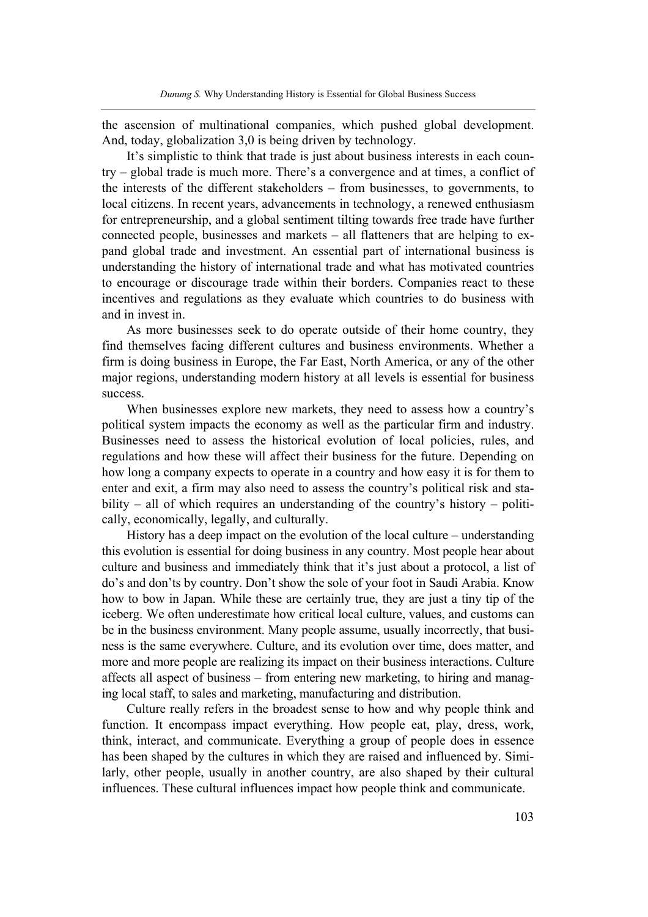the ascension of multinational companies, which pushed global development. And, today, globalization 3,0 is being driven by technology.

It's simplistic to think that trade is just about business interests in each country – global trade is much more. There's a convergence and at times, a conflict of the interests of the different stakeholders – from businesses, to governments, to local citizens. In recent years, advancements in technology, a renewed enthusiasm for entrepreneurship, and a global sentiment tilting towards free trade have further connected people, businesses and markets – all flatteners that are helping to expand global trade and investment. An essential part of international business is understanding the history of international trade and what has motivated countries to encourage or discourage trade within their borders. Companies react to these incentives and regulations as they evaluate which countries to do business with and in invest in.

As more businesses seek to do operate outside of their home country, they find themselves facing different cultures and business environments. Whether a firm is doing business in Europe, the Far East, North America, or any of the other major regions, understanding modern history at all levels is essential for business success.

When businesses explore new markets, they need to assess how a country's political system impacts the economy as well as the particular firm and industry. Businesses need to assess the historical evolution of local policies, rules, and regulations and how these will affect their business for the future. Depending on how long a company expects to operate in a country and how easy it is for them to enter and exit, a firm may also need to assess the country's political risk and stability – all of which requires an understanding of the country's history – politically, economically, legally, and culturally.

History has a deep impact on the evolution of the local culture – understanding this evolution is essential for doing business in any country. Most people hear about culture and business and immediately think that it's just about a protocol, a list of do's and don'ts by country. Don't show the sole of your foot in Saudi Arabia. Know how to bow in Japan. While these are certainly true, they are just a tiny tip of the iceberg. We often underestimate how critical local culture, values, and customs can be in the business environment. Many people assume, usually incorrectly, that business is the same everywhere. Culture, and its evolution over time, does matter, and more and more people are realizing its impact on their business interactions. Culture affects all aspect of business – from entering new marketing, to hiring and managing local staff, to sales and marketing, manufacturing and distribution.

Culture really refers in the broadest sense to how and why people think and function. It encompass impact everything. How people eat, play, dress, work, think, interact, and communicate. Everything a group of people does in essence has been shaped by the cultures in which they are raised and influenced by. Similarly, other people, usually in another country, are also shaped by their cultural influences. These cultural influences impact how people think and communicate.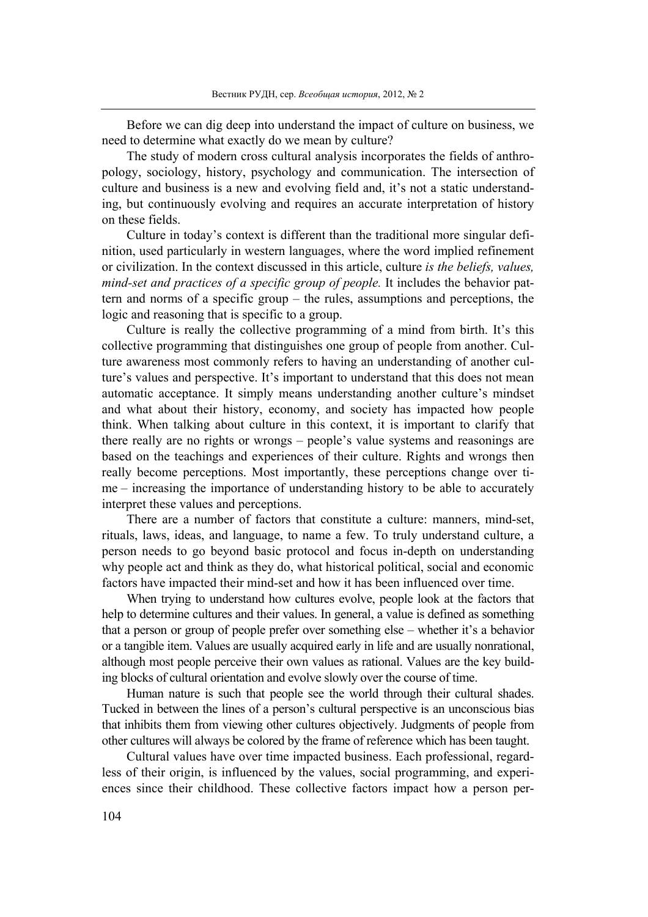Before we can dig deep into understand the impact of culture on business, we need to determine what exactly do we mean by culture?

The study of modern cross cultural analysis incorporates the fields of anthropology, sociology, history, psychology and communication. The intersection of culture and business is a new and evolving field and, it's not a static understanding, but continuously evolving and requires an accurate interpretation of history on these fields.

Culture in today's context is different than the traditional more singular definition, used particularly in western languages, where the word implied refinement or civilization. In the context discussed in this article, culture *is the beliefs, values, mind-set and practices of a specific group of people.* It includes the behavior pattern and norms of a specific group – the rules, assumptions and perceptions, the logic and reasoning that is specific to a group.

Culture is really the collective programming of a mind from birth. It's this collective programming that distinguishes one group of people from another. Culture awareness most commonly refers to having an understanding of another culture's values and perspective. It's important to understand that this does not mean automatic acceptance. It simply means understanding another culture's mindset and what about their history, economy, and society has impacted how people think. When talking about culture in this context, it is important to clarify that there really are no rights or wrongs – people's value systems and reasonings are based on the teachings and experiences of their culture. Rights and wrongs then really become perceptions. Most importantly, these perceptions change over time – increasing the importance of understanding history to be able to accurately interpret these values and perceptions.

There are a number of factors that constitute a culture: manners, mind-set, rituals, laws, ideas, and language, to name a few. To truly understand culture, a person needs to go beyond basic protocol and focus in-depth on understanding why people act and think as they do, what historical political, social and economic factors have impacted their mind-set and how it has been influenced over time.

When trying to understand how cultures evolve, people look at the factors that help to determine cultures and their values. In general, a value is defined as something that a person or group of people prefer over something else – whether it's a behavior or a tangible item. Values are usually acquired early in life and are usually nonrational, although most people perceive their own values as rational. Values are the key building blocks of cultural orientation and evolve slowly over the course of time.

Human nature is such that people see the world through their cultural shades. Tucked in between the lines of a person's cultural perspective is an unconscious bias that inhibits them from viewing other cultures objectively. Judgments of people from other cultures will always be colored by the frame of reference which has been taught.

Cultural values have over time impacted business. Each professional, regardless of their origin, is influenced by the values, social programming, and experiences since their childhood. These collective factors impact how a person per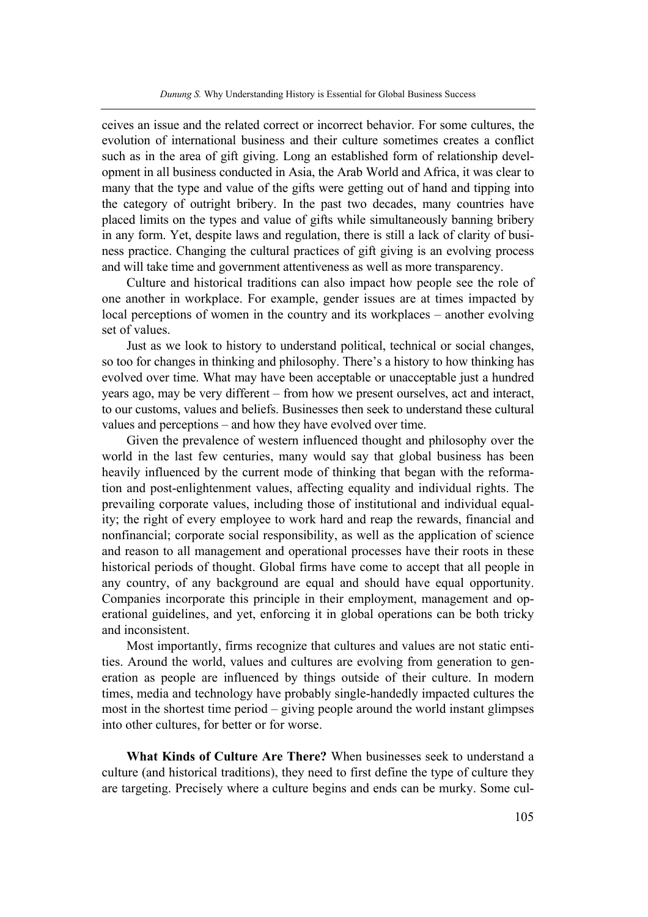ceives an issue and the related correct or incorrect behavior. For some cultures, the evolution of international business and their culture sometimes creates a conflict such as in the area of gift giving. Long an established form of relationship development in all business conducted in Asia, the Arab World and Africa, it was clear to many that the type and value of the gifts were getting out of hand and tipping into the category of outright bribery. In the past two decades, many countries have placed limits on the types and value of gifts while simultaneously banning bribery in any form. Yet, despite laws and regulation, there is still a lack of clarity of business practice. Changing the cultural practices of gift giving is an evolving process and will take time and government attentiveness as well as more transparency.

Culture and historical traditions can also impact how people see the role of one another in workplace. For example, gender issues are at times impacted by local perceptions of women in the country and its workplaces – another evolving set of values.

Just as we look to history to understand political, technical or social changes, so too for changes in thinking and philosophy. There's a history to how thinking has evolved over time. What may have been acceptable or unacceptable just a hundred years ago, may be very different – from how we present ourselves, act and interact, to our customs, values and beliefs. Businesses then seek to understand these cultural values and perceptions – and how they have evolved over time.

Given the prevalence of western influenced thought and philosophy over the world in the last few centuries, many would say that global business has been heavily influenced by the current mode of thinking that began with the reformation and post-enlightenment values, affecting equality and individual rights. The prevailing corporate values, including those of institutional and individual equality; the right of every employee to work hard and reap the rewards, financial and nonfinancial; corporate social responsibility, as well as the application of science and reason to all management and operational processes have their roots in these historical periods of thought. Global firms have come to accept that all people in any country, of any background are equal and should have equal opportunity. Companies incorporate this principle in their employment, management and operational guidelines, and yet, enforcing it in global operations can be both tricky and inconsistent.

Most importantly, firms recognize that cultures and values are not static entities. Around the world, values and cultures are evolving from generation to generation as people are influenced by things outside of their culture. In modern times, media and technology have probably single-handedly impacted cultures the most in the shortest time period – giving people around the world instant glimpses into other cultures, for better or for worse.

**What Kinds of Culture Are There?** When businesses seek to understand a culture (and historical traditions), they need to first define the type of culture they are targeting. Precisely where a culture begins and ends can be murky. Some cul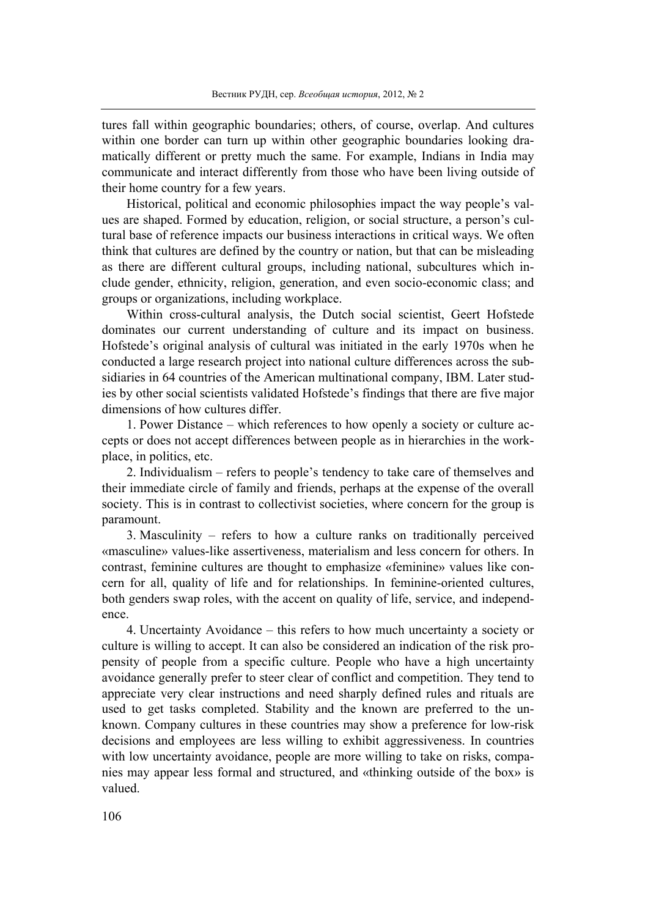tures fall within geographic boundaries; others, of course, overlap. And cultures within one border can turn up within other geographic boundaries looking dramatically different or pretty much the same. For example, Indians in India may communicate and interact differently from those who have been living outside of their home country for a few years.

Historical, political and economic philosophies impact the way people's values are shaped. Formed by education, religion, or social structure, a person's cultural base of reference impacts our business interactions in critical ways. We often think that cultures are defined by the country or nation, but that can be misleading as there are different cultural groups, including national, subcultures which include gender, ethnicity, religion, generation, and even socio-economic class; and groups or organizations, including workplace.

Within cross-cultural analysis, the Dutch social scientist, Geert Hofstede dominates our current understanding of culture and its impact on business. Hofstede's original analysis of cultural was initiated in the early 1970s when he conducted a large research project into national culture differences across the subsidiaries in 64 countries of the American multinational company, IBM. Later studies by other social scientists validated Hofstede's findings that there are five major dimensions of how cultures differ.

1. Power Distance – which references to how openly a society or culture accepts or does not accept differences between people as in hierarchies in the workplace, in politics, etc.

2. Individualism – refers to people's tendency to take care of themselves and their immediate circle of family and friends, perhaps at the expense of the overall society. This is in contrast to collectivist societies, where concern for the group is paramount.

3. Masculinity – refers to how a culture ranks on traditionally perceived «masculine» values-like assertiveness, materialism and less concern for others. In contrast, feminine cultures are thought to emphasize «feminine» values like concern for all, quality of life and for relationships. In feminine-oriented cultures, both genders swap roles, with the accent on quality of life, service, and independence.

4. Uncertainty Avoidance – this refers to how much uncertainty a society or culture is willing to accept. It can also be considered an indication of the risk propensity of people from a specific culture. People who have a high uncertainty avoidance generally prefer to steer clear of conflict and competition. They tend to appreciate very clear instructions and need sharply defined rules and rituals are used to get tasks completed. Stability and the known are preferred to the unknown. Company cultures in these countries may show a preference for low-risk decisions and employees are less willing to exhibit aggressiveness. In countries with low uncertainty avoidance, people are more willing to take on risks, companies may appear less formal and structured, and «thinking outside of the box» is valued.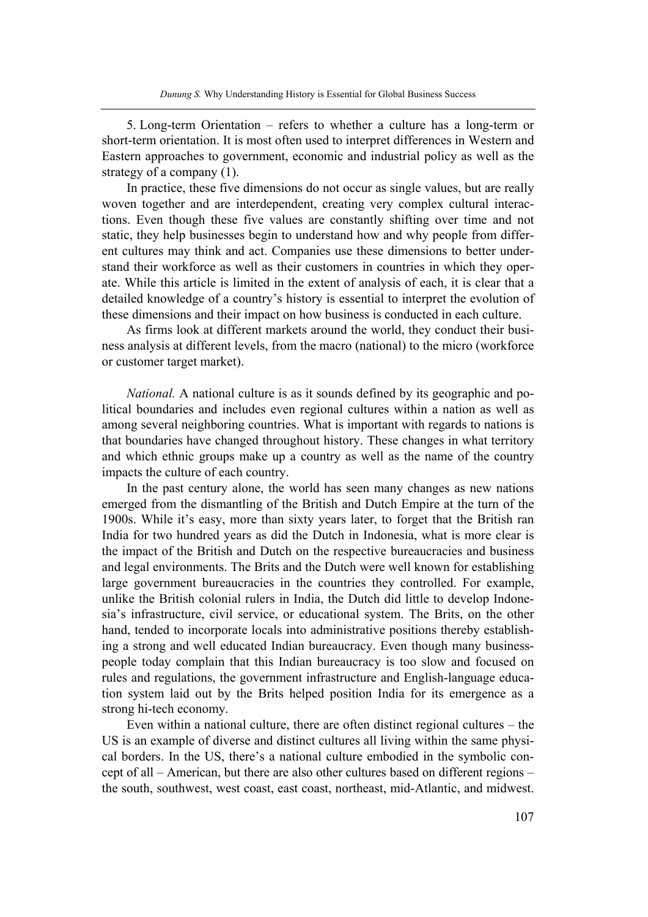5. Long-term Orientation – refers to whether a culture has a long-term or short-term orientation. It is most often used to interpret differences in Western and Eastern approaches to government, economic and industrial policy as well as the strategy of a company (1).

In practice, these five dimensions do not occur as single values, but are really woven together and are interdependent, creating very complex cultural interactions. Even though these five values are constantly shifting over time and not static, they help businesses begin to understand how and why people from different cultures may think and act. Companies use these dimensions to better understand their workforce as well as their customers in countries in which they operate. While this article is limited in the extent of analysis of each, it is clear that a detailed knowledge of a country's history is essential to interpret the evolution of these dimensions and their impact on how business is conducted in each culture.

As firms look at different markets around the world, they conduct their business analysis at different levels, from the macro (national) to the micro (workforce or customer target market).

*National.* A national culture is as it sounds defined by its geographic and political boundaries and includes even regional cultures within a nation as well as among several neighboring countries. What is important with regards to nations is that boundaries have changed throughout history. These changes in what territory and which ethnic groups make up a country as well as the name of the country impacts the culture of each country.

In the past century alone, the world has seen many changes as new nations emerged from the dismantling of the British and Dutch Empire at the turn of the 1900s. While it's easy, more than sixty years later, to forget that the British ran India for two hundred years as did the Dutch in Indonesia, what is more clear is the impact of the British and Dutch on the respective bureaucracies and business and legal environments. The Brits and the Dutch were well known for establishing large government bureaucracies in the countries they controlled. For example, unlike the British colonial rulers in India, the Dutch did little to develop Indonesia's infrastructure, civil service, or educational system. The Brits, on the other hand, tended to incorporate locals into administrative positions thereby establishing a strong and well educated Indian bureaucracy. Even though many businesspeople today complain that this Indian bureaucracy is too slow and focused on rules and regulations, the government infrastructure and English-language education system laid out by the Brits helped position India for its emergence as a strong hi-tech economy.

Even within a national culture, there are often distinct regional cultures – the US is an example of diverse and distinct cultures all living within the same physical borders. In the US, there's a national culture embodied in the symbolic concept of all – American, but there are also other cultures based on different regions – the south, southwest, west coast, east coast, northeast, mid-Atlantic, and midwest.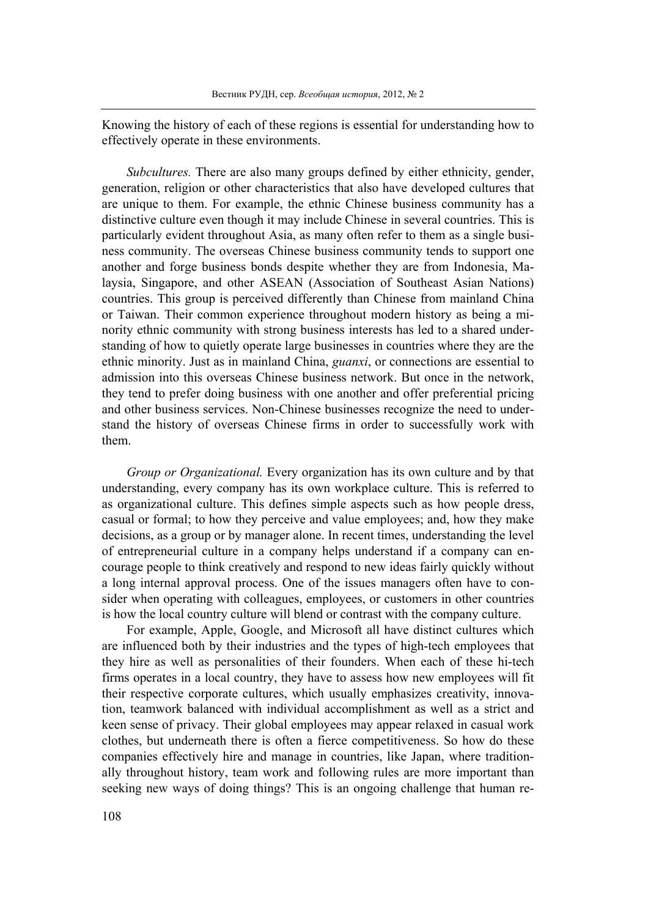Knowing the history of each of these regions is essential for understanding how to effectively operate in these environments.

*Subcultures.* There are also many groups defined by either ethnicity, gender, generation, religion or other characteristics that also have developed cultures that are unique to them. For example, the ethnic Chinese business community has a distinctive culture even though it may include Chinese in several countries. This is particularly evident throughout Asia, as many often refer to them as a single business community. The overseas Chinese business community tends to support one another and forge business bonds despite whether they are from Indonesia, Malaysia, Singapore, and other ASEAN (Association of Southeast Asian Nations) countries. This group is perceived differently than Chinese from mainland China or Taiwan. Their common experience throughout modern history as being a minority ethnic community with strong business interests has led to a shared understanding of how to quietly operate large businesses in countries where they are the ethnic minority. Just as in mainland China, *guanxi*, or connections are essential to admission into this overseas Chinese business network. But once in the network, they tend to prefer doing business with one another and offer preferential pricing and other business services. Non-Chinese businesses recognize the need to understand the history of overseas Chinese firms in order to successfully work with them.

*Group or Organizational.* Every organization has its own culture and by that understanding, every company has its own workplace culture. This is referred to as organizational culture. This defines simple aspects such as how people dress, casual or formal; to how they perceive and value employees; and, how they make decisions, as a group or by manager alone. In recent times, understanding the level of entrepreneurial culture in a company helps understand if a company can encourage people to think creatively and respond to new ideas fairly quickly without a long internal approval process. One of the issues managers often have to consider when operating with colleagues, employees, or customers in other countries is how the local country culture will blend or contrast with the company culture.

For example, Apple, Google, and Microsoft all have distinct cultures which are influenced both by their industries and the types of high-tech employees that they hire as well as personalities of their founders. When each of these hi-tech firms operates in a local country, they have to assess how new employees will fit their respective corporate cultures, which usually emphasizes creativity, innovation, teamwork balanced with individual accomplishment as well as a strict and keen sense of privacy. Their global employees may appear relaxed in casual work clothes, but underneath there is often a fierce competitiveness. So how do these companies effectively hire and manage in countries, like Japan, where traditionally throughout history, team work and following rules are more important than seeking new ways of doing things? This is an ongoing challenge that human re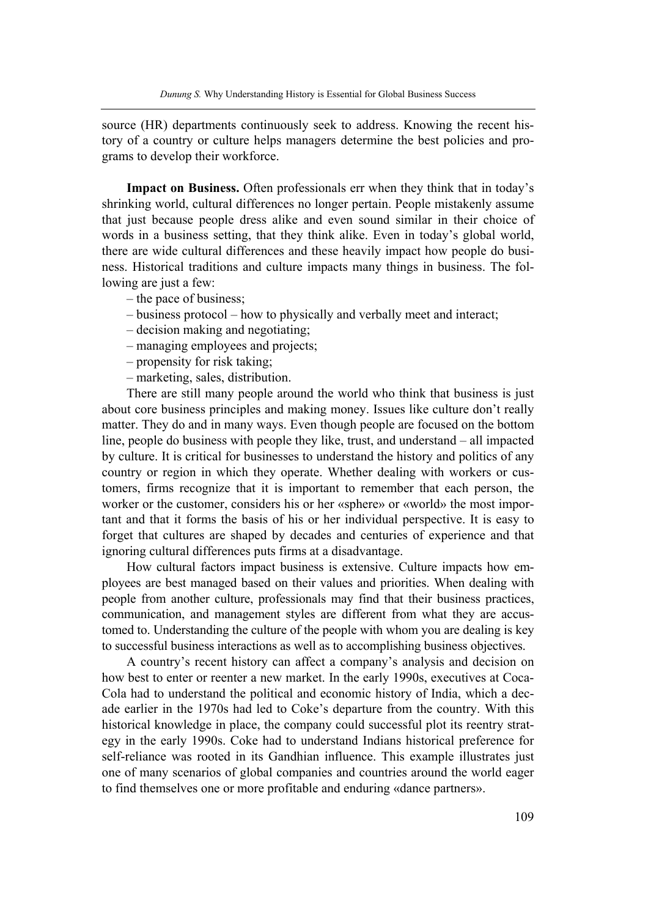source (HR) departments continuously seek to address. Knowing the recent history of a country or culture helps managers determine the best policies and programs to develop their workforce.

**Impact on Business.** Often professionals err when they think that in today's shrinking world, cultural differences no longer pertain. People mistakenly assume that just because people dress alike and even sound similar in their choice of words in a business setting, that they think alike. Even in today's global world, there are wide cultural differences and these heavily impact how people do business. Historical traditions and culture impacts many things in business. The following are just a few:

- the pace of business;
- business protocol how to physically and verbally meet and interact;
- decision making and negotiating;
- managing employees and projects;
- propensity for risk taking;
- marketing, sales, distribution.

There are still many people around the world who think that business is just about core business principles and making money. Issues like culture don't really matter. They do and in many ways. Even though people are focused on the bottom line, people do business with people they like, trust, and understand – all impacted by culture. It is critical for businesses to understand the history and politics of any country or region in which they operate. Whether dealing with workers or customers, firms recognize that it is important to remember that each person, the worker or the customer, considers his or her «sphere» or «world» the most important and that it forms the basis of his or her individual perspective. It is easy to forget that cultures are shaped by decades and centuries of experience and that ignoring cultural differences puts firms at a disadvantage.

How cultural factors impact business is extensive. Culture impacts how employees are best managed based on their values and priorities. When dealing with people from another culture, professionals may find that their business practices, communication, and management styles are different from what they are accustomed to. Understanding the culture of the people with whom you are dealing is key to successful business interactions as well as to accomplishing business objectives.

A country's recent history can affect a company's analysis and decision on how best to enter or reenter a new market. In the early 1990s, executives at Coca-Cola had to understand the political and economic history of India, which a decade earlier in the 1970s had led to Coke's departure from the country. With this historical knowledge in place, the company could successful plot its reentry strategy in the early 1990s. Coke had to understand Indians historical preference for self-reliance was rooted in its Gandhian influence. This example illustrates just one of many scenarios of global companies and countries around the world eager to find themselves one or more profitable and enduring «dance partners».